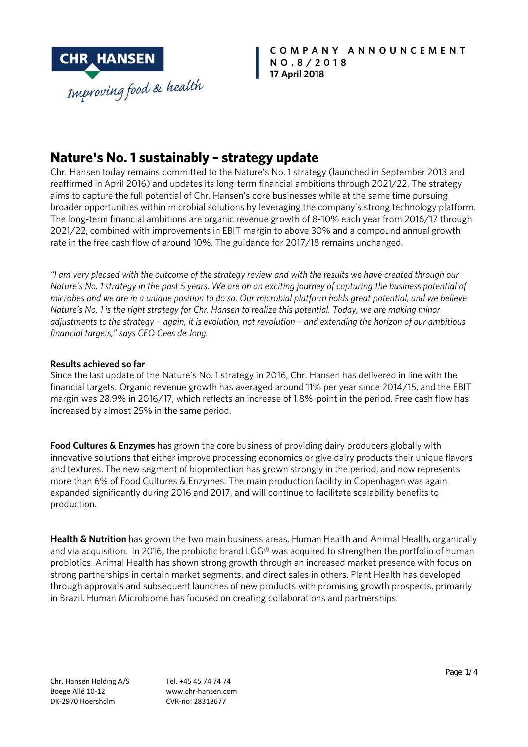

**COMPANY ANNOUNCEMENT NO.8/2018 17 April 2018**

# **Nature's No. 1 sustainably – strategy update**

Chr. Hansen today remains committed to the Nature's No. 1 strategy (launched in September 2013 and reaffirmed in April 2016) and updates its long-term financial ambitions through 2021/22. The strategy aims to capture the full potential of Chr. Hansen's core businesses while at the same time pursuing broader opportunities within microbial solutions by leveraging the company's strong technology platform. The long-term financial ambitions are organic revenue growth of 8-10% each year from 2016/17 through 2021/22, combined with improvements in EBIT margin to above 30% and a compound annual growth rate in the free cash flow of around 10%. The guidance for 2017/18 remains unchanged.

*"I am very pleased with the outcome of the strategy review and with the results we have created through our Nature's No. 1 strategy in the past 5 years. We are on an exciting journey of capturing the business potential of microbes and we are in a unique position to do so. Our microbial platform holds great potential, and we believe Nature's No. 1 is the right strategy for Chr. Hansen to realize this potential. Today, we are making minor adjustments to the strategy – again, it is evolution, not revolution – and extending the horizon of our ambitious financial targets," says CEO Cees de Jong.* 

## **Results achieved so far**

Since the last update of the Nature's No. 1 strategy in 2016, Chr. Hansen has delivered in line with the financial targets. Organic revenue growth has averaged around 11% per year since 2014/15, and the EBIT margin was 28.9% in 2016/17, which reflects an increase of 1.8%-point in the period. Free cash flow has increased by almost 25% in the same period.

**Food Cultures & Enzymes** has grown the core business of providing dairy producers globally with innovative solutions that either improve processing economics or give dairy products their unique flavors and textures. The new segment of bioprotection has grown strongly in the period, and now represents more than 6% of Food Cultures & Enzymes. The main production facility in Copenhagen was again expanded significantly during 2016 and 2017, and will continue to facilitate scalability benefits to production.

**Health & Nutrition** has grown the two main business areas, Human Health and Animal Health, organically and via acquisition. In 2016, the probiotic brand LGG® was acquired to strengthen the portfolio of human probiotics. Animal Health has shown strong growth through an increased market presence with focus on strong partnerships in certain market segments, and direct sales in others. Plant Health has developed through approvals and subsequent launches of new products with promising growth prospects, primarily in Brazil. Human Microbiome has focused on creating collaborations and partnerships.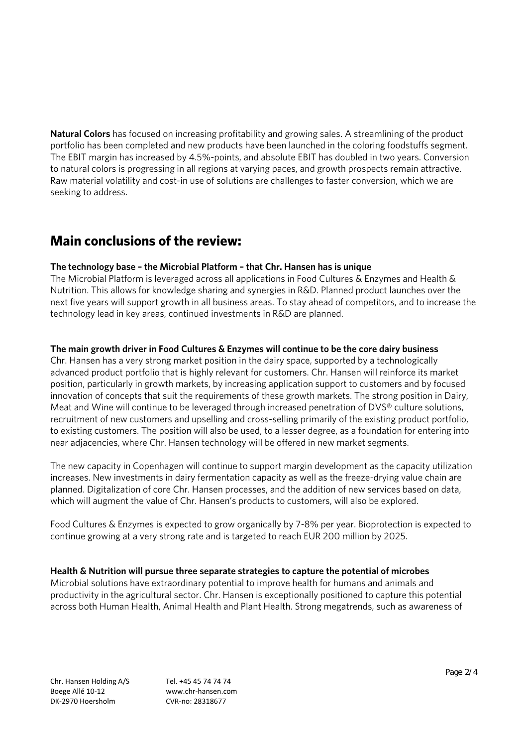**Natural Colors** has focused on increasing profitability and growing sales. A streamlining of the product portfolio has been completed and new products have been launched in the coloring foodstuffs segment. The EBIT margin has increased by 4.5%-points, and absolute EBIT has doubled in two years. Conversion to natural colors is progressing in all regions at varying paces, and growth prospects remain attractive. Raw material volatility and cost-in use of solutions are challenges to faster conversion, which we are seeking to address.

# **Main conclusions of the review:**

## **The technology base – the Microbial Platform – that Chr. Hansen has is unique**

The Microbial Platform is leveraged across all applications in Food Cultures & Enzymes and Health & Nutrition. This allows for knowledge sharing and synergies in R&D. Planned product launches over the next five years will support growth in all business areas. To stay ahead of competitors, and to increase the technology lead in key areas, continued investments in R&D are planned.

## **The main growth driver in Food Cultures & Enzymes will continue to be the core dairy business**

Chr. Hansen has a very strong market position in the dairy space, supported by a technologically advanced product portfolio that is highly relevant for customers. Chr. Hansen will reinforce its market position, particularly in growth markets, by increasing application support to customers and by focused innovation of concepts that suit the requirements of these growth markets. The strong position in Dairy, Meat and Wine will continue to be leveraged through increased penetration of DVS® culture solutions, recruitment of new customers and upselling and cross-selling primarily of the existing product portfolio, to existing customers. The position will also be used, to a lesser degree, as a foundation for entering into near adjacencies, where Chr. Hansen technology will be offered in new market segments.

The new capacity in Copenhagen will continue to support margin development as the capacity utilization increases. New investments in dairy fermentation capacity as well as the freeze-drying value chain are planned. Digitalization of core Chr. Hansen processes, and the addition of new services based on data, which will augment the value of Chr. Hansen's products to customers, will also be explored.

Food Cultures & Enzymes is expected to grow organically by 7-8% per year. Bioprotection is expected to continue growing at a very strong rate and is targeted to reach EUR 200 million by 2025.

# **Health & Nutrition will pursue three separate strategies to capture the potential of microbes**

Microbial solutions have extraordinary potential to improve health for humans and animals and productivity in the agricultural sector. Chr. Hansen is exceptionally positioned to capture this potential across both Human Health, Animal Health and Plant Health. Strong megatrends, such as awareness of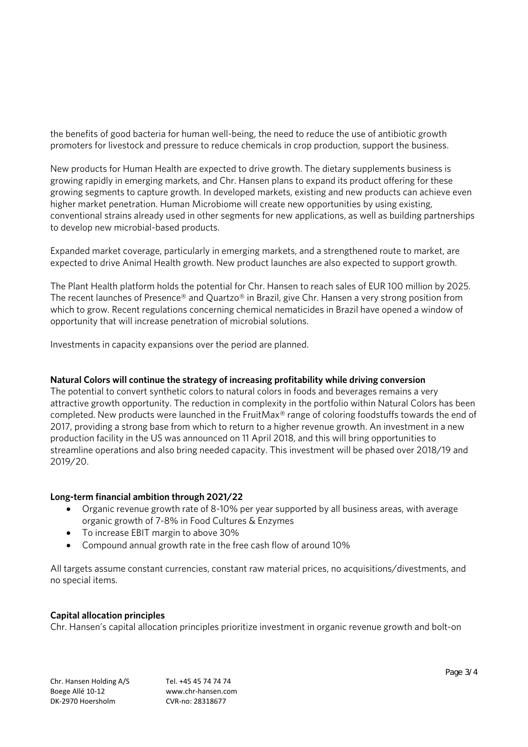the benefits of good bacteria for human well-being, the need to reduce the use of antibiotic growth promoters for livestock and pressure to reduce chemicals in crop production, support the business.

New products for Human Health are expected to drive growth. The dietary supplements business is growing rapidly in emerging markets, and Chr. Hansen plans to expand its product offering for these growing segments to capture growth. In developed markets, existing and new products can achieve even higher market penetration. Human Microbiome will create new opportunities by using existing, conventional strains already used in other segments for new applications, as well as building partnerships to develop new microbial-based products.

Expanded market coverage, particularly in emerging markets, and a strengthened route to market, are expected to drive Animal Health growth. New product launches are also expected to support growth.

The Plant Health platform holds the potential for Chr. Hansen to reach sales of EUR 100 million by 2025. The recent launches of Presence® and Quartzo® in Brazil, give Chr. Hansen a very strong position from which to grow. Recent regulations concerning chemical nematicides in Brazil have opened a window of opportunity that will increase penetration of microbial solutions.

Investments in capacity expansions over the period are planned.

# **Natural Colors will continue the strategy of increasing profitability while driving conversion**

The potential to convert synthetic colors to natural colors in foods and beverages remains a very attractive growth opportunity. The reduction in complexity in the portfolio within Natural Colors has been completed. New products were launched in the FruitMax® range of coloring foodstuffs towards the end of 2017, providing a strong base from which to return to a higher revenue growth. An investment in a new production facility in the US was announced on 11 April 2018, and this will bring opportunities to streamline operations and also bring needed capacity. This investment will be phased over 2018/19 and 2019/20.

### **Long-term financial ambition through 2021/22**

- Organic revenue growth rate of 8-10% per year supported by all business areas, with average organic growth of 7-8% in Food Cultures & Enzymes
- To increase EBIT margin to above 30%
- Compound annual growth rate in the free cash flow of around 10%

All targets assume constant currencies, constant raw material prices, no acquisitions/divestments, and no special items.

### **Capital allocation principles**

Chr. Hansen's capital allocation principles prioritize investment in organic revenue growth and bolt-on